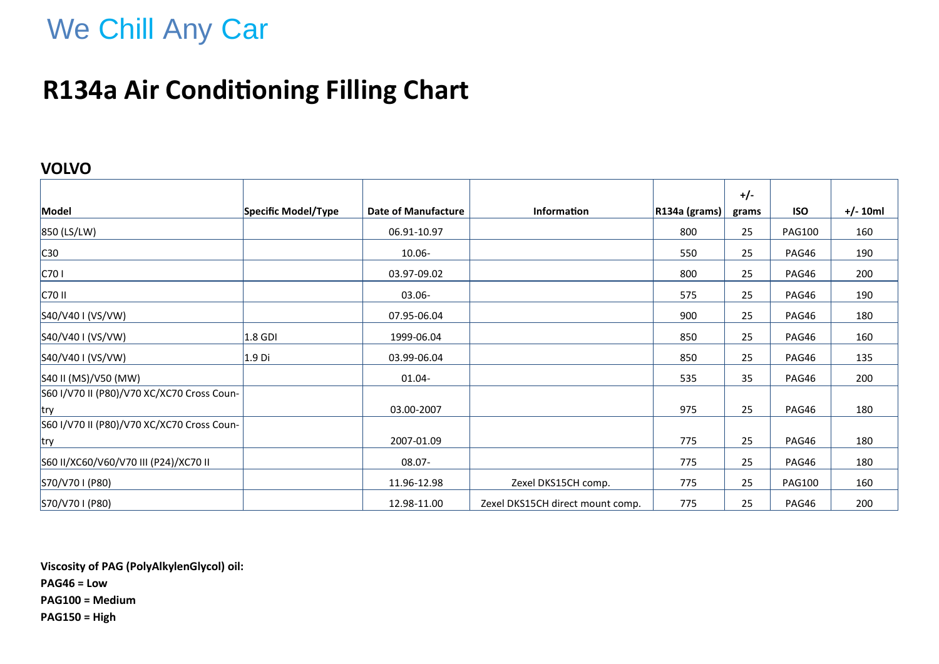# We Chill Any Car

## **R134a Air Conditioning Filling Chart**

#### **VOLVO**

|                                            |                     |                            |                                  |                  | $+/-$ |               |            |
|--------------------------------------------|---------------------|----------------------------|----------------------------------|------------------|-------|---------------|------------|
| Model                                      | Specific Model/Type | <b>Date of Manufacture</b> | Information                      | $ R134a$ (grams) | grams | <b>ISO</b>    | $+/- 10ml$ |
| 850 (LS/LW)                                |                     | 06.91-10.97                |                                  | 800              | 25    | <b>PAG100</b> | 160        |
| C30                                        |                     | 10.06-                     |                                  | 550              | 25    | PAG46         | 190        |
| C701                                       |                     | 03.97-09.02                |                                  | 800              | 25    | PAG46         | 200        |
| C70 II                                     |                     | 03.06-                     |                                  | 575              | 25    | PAG46         | 190        |
| S40/V40 I (VS/VW)                          |                     | 07.95-06.04                |                                  | 900              | 25    | PAG46         | 180        |
| S40/V40 I (VS/VW)                          | $ 1.8$ GDI          | 1999-06.04                 |                                  | 850              | 25    | PAG46         | 160        |
| S40/V40 I (VS/VW)                          | 1.9 <sub>Di</sub>   | 03.99-06.04                |                                  | 850              | 25    | PAG46         | 135        |
| S40 II (MS)/V50 (MW)                       |                     | 01.04-                     |                                  | 535              | 35    | PAG46         | 200        |
| S60 I/V70 II (P80)/V70 XC/XC70 Cross Coun- |                     |                            |                                  |                  |       |               |            |
| try                                        |                     | 03.00-2007                 |                                  | 975              | 25    | PAG46         | 180        |
| S60 I/V70 II (P80)/V70 XC/XC70 Cross Coun- |                     |                            |                                  |                  |       |               |            |
| try                                        |                     | 2007-01.09                 |                                  | 775              | 25    | PAG46         | 180        |
| S60 II/XC60/V60/V70 III (P24)/XC70 II      |                     | 08.07-                     |                                  | 775              | 25    | PAG46         | 180        |
| S70/V70 I (P80)                            |                     | 11.96-12.98                | Zexel DKS15CH comp.              | 775              | 25    | <b>PAG100</b> | 160        |
| S70/V70 I (P80)                            |                     | 12.98-11.00                | Zexel DKS15CH direct mount comp. | 775              | 25    | PAG46         | 200        |

**Viscosity of PAG (PolyAlkylenGlycol) oil: PAG46 = Low PAG100 = Medium PAG150 = High**